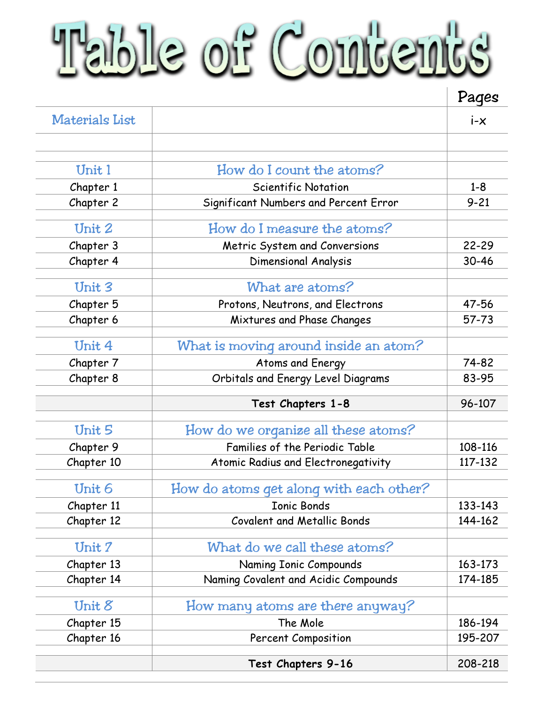## Table of Contents

|                       |                                         | Pages    |
|-----------------------|-----------------------------------------|----------|
| <b>Materials List</b> |                                         | $i - x$  |
|                       |                                         |          |
| Unit 1                | How do I count the atoms?               |          |
| Chapter 1             | <b>Scientific Notation</b>              | $1 - 8$  |
| Chapter 2             | Significant Numbers and Percent Error   | $9 - 21$ |
| Unit 2                | How do I measure the atoms?             |          |
| Chapter 3             | Metric System and Conversions           | 22-29    |
| Chapter 4             | Dimensional Analysis                    | 30-46    |
| Unit 3                | What are atoms?                         |          |
| Chapter 5             | Protons, Neutrons, and Electrons        | 47-56    |
| Chapter 6             | Mixtures and Phase Changes              | 57-73    |
| Unit 4                | What is moving around inside an atom?   |          |
| Chapter 7             | Atoms and Energy                        | 74-82    |
| Chapter 8             | Orbitals and Energy Level Diagrams      | 83-95    |
|                       | Test Chapters 1-8                       | 96-107   |
| Unit 5                | How do we organize all these atoms?     |          |
| Chapter 9             | Families of the Periodic Table          | 108-116  |
| Chapter 10            | Atomic Radius and Electronegativity     | 117-132  |
| Unit 6                | How do atoms get along with each other? |          |
| Chapter 11            | <b>Ionic Bonds</b>                      | 133-143  |
| Chapter 12            | <b>Covalent and Metallic Bonds</b>      | 144-162  |
| Unit 7                | What do we call these atoms?            |          |
| Chapter 13            | Naming Ionic Compounds                  | 163-173  |
| Chapter 14            | Naming Covalent and Acidic Compounds    | 174-185  |
| Unit $8$              | How many atoms are there anyway?        |          |
| Chapter 15            | The Mole                                | 186-194  |
| Chapter 16            | <b>Percent Composition</b>              | 195-207  |
|                       | Test Chapters 9-16                      | 208-218  |